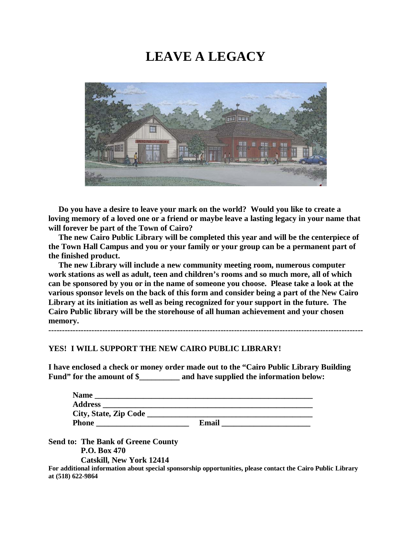## **LEAVE A LEGACY**



 **Do you have a desire to leave your mark on the world? Would you like to create a loving memory of a loved one or a friend or maybe leave a lasting legacy in your name that will forever be part of the Town of Cairo?**

 **The new Cairo Public Library will be completed this year and will be the centerpiece of the Town Hall Campus and you or your family or your group can be a permanent part of the finished product.**

 **The new Library will include a new community meeting room, numerous computer work stations as well as adult, teen and children's rooms and so much more, all of which can be sponsored by you or in the name of someone you choose. Please take a look at the various sponsor levels on the back of this form and consider being a part of the New Cairo Library at its initiation as well as being recognized for your support in the future. The Cairo Public library will be the storehouse of all human achievement and your chosen memory.**

**---------------------------------------------------------------------------------------------------------------------**

## **YES! I WILL SUPPORT THE NEW CAIRO PUBLIC LIBRARY!**

**I have enclosed a check or money order made out to the "Cairo Public Library Building Fund" for the amount of \$\_\_\_\_\_\_\_\_\_\_ and have supplied the information below:**

| <b>Name</b>           |       |
|-----------------------|-------|
| <b>Address</b>        |       |
| City, State, Zip Code |       |
| <b>Phone</b>          | Email |

**Send to: The Bank of Greene County P.O. Box 470**

 **Catskill, New York 12414**

**For additional information about special sponsorship opportunities, please contact the Cairo Public Library at (518) 622-9864**